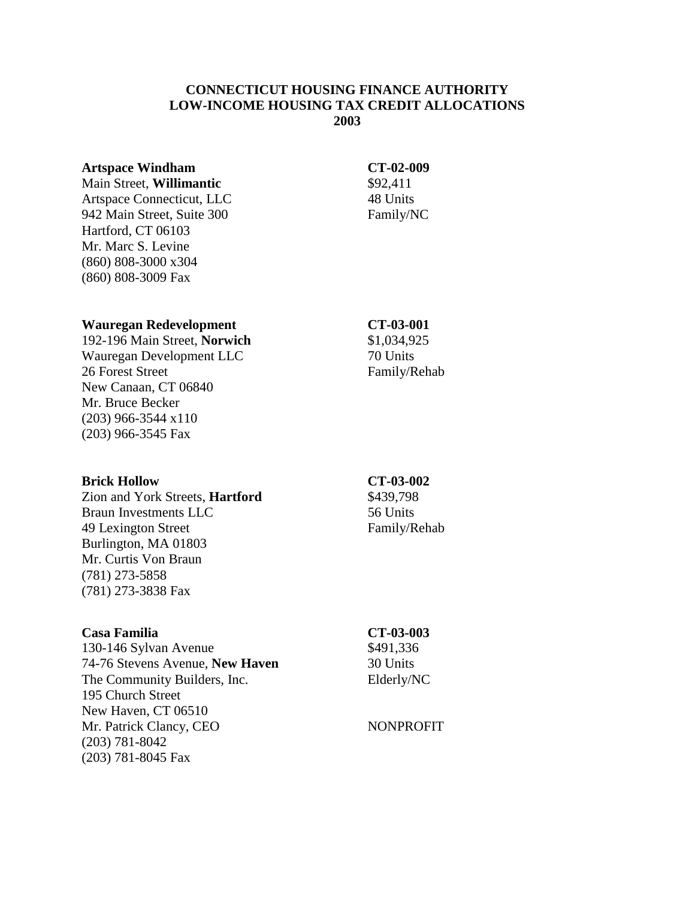# **CONNECTICUT HOUSING FINANCE AUTHORITY LOW-INCOME HOUSING TAX CREDIT ALLOCATIONS 2003**

## **Artspace Windham CT-02-009**

Main Street, **Willimantic** \$92,411 Artspace Connecticut, LLC 48 Units 942 Main Street, Suite 300 Family/NC Hartford, CT 06103 Mr. Marc S. Levine (860) 808-3000 x304 (860) 808-3009 Fax

## **Wauregan Redevelopment CT-03-001**

192-196 Main Street, **Norwich** \$1,034,925 Wauregan Development LLC 70 Units 26 Forest Street Family/Rehab New Canaan, CT 06840 Mr. Bruce Becker (203) 966-3544 x110 (203) 966-3545 Fax

## **Brick Hollow CT-03-002**

Zion and York Streets, **Hartford** \$439,798 Braun Investments LLC 56 Units 49 Lexington Street Family/Rehab Burlington, MA 01803 Mr. Curtis Von Braun (781) 273-5858 (781) 273-3838 Fax

## **Casa Familia CT-03-003**

130-146 Sylvan Avenue \$491,336 74-76 Stevens Avenue, **New Haven** 30 Units The Community Builders, Inc. Elderly/NC 195 Church Street New Haven, CT 06510 Mr. Patrick Clancy, CEO NONPROFIT (203) 781-8042 (203) 781-8045 Fax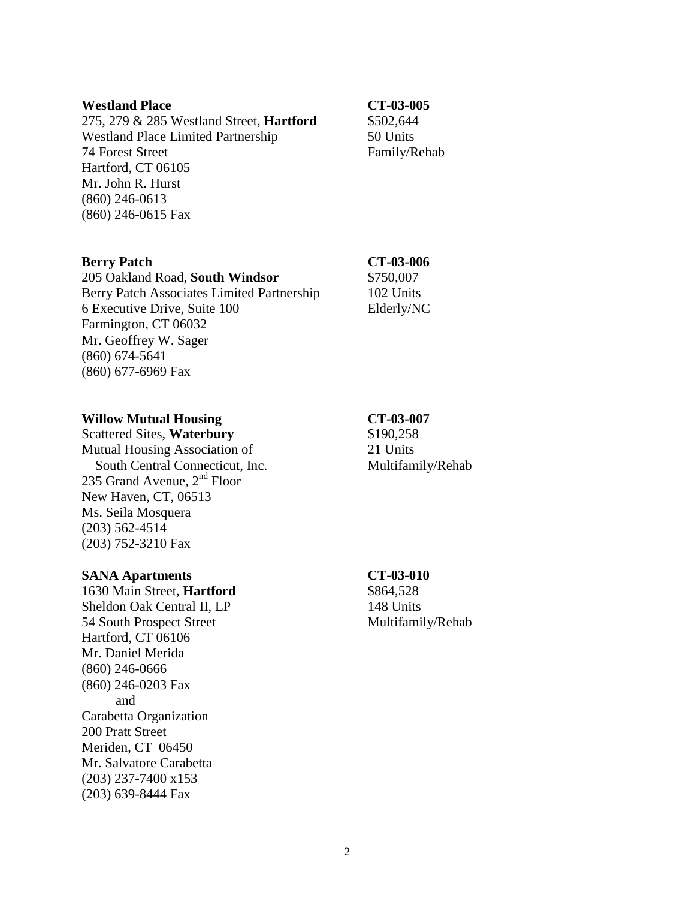## Westland Place **CT-03-005**

275, 279 & 285 Westland Street, **Hartford** \$502,644 Westland Place Limited Partnership 50 Units 74 Forest Street Family/Rehab Hartford, CT 06105 Mr. John R. Hurst (860) 246-0613 (860) 246-0615 Fax

# **Berry Patch CT-03-006**

205 Oakland Road, **South Windsor** \$750,007 Berry Patch Associates Limited Partnership 102 Units 6 Executive Drive, Suite 100 Elderly/NC Farmington, CT 06032 Mr. Geoffrey W. Sager (860) 674-5641 (860) 677-6969 Fax

# Willow Mutual Housing CT-03-007

Scattered Sites, **Waterbury** \$190,258 Mutual Housing Association of 21 Units South Central Connecticut, Inc. Multifamily/Rehab 235 Grand Avenue,  $2<sup>nd</sup>$  Floor New Haven, CT, 06513 Ms. Seila Mosquera (203) 562-4514 (203) 752-3210 Fax

# **SANA Apartments CT-03-010**

1630 Main Street, **Hartford** \$864,528 Sheldon Oak Central II, LP 148 Units 54 South Prospect Street Multifamily/Rehab Hartford, CT 06106 Mr. Daniel Merida (860) 246-0666 (860) 246-0203 Fax and Carabetta Organization 200 Pratt Street Meriden, CT 06450 Mr. Salvatore Carabetta (203) 237-7400 x153 (203) 639-8444 Fax